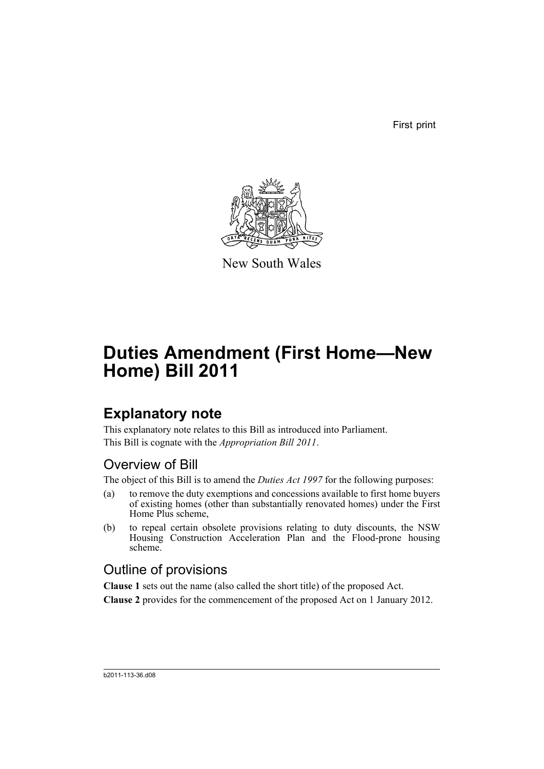First print



New South Wales

# **Duties Amendment (First Home—New Home) Bill 2011**

# **Explanatory note**

This explanatory note relates to this Bill as introduced into Parliament. This Bill is cognate with the *Appropriation Bill 2011*.

### Overview of Bill

The object of this Bill is to amend the *Duties Act 1997* for the following purposes:

- (a) to remove the duty exemptions and concessions available to first home buyers of existing homes (other than substantially renovated homes) under the First Home Plus scheme,
- (b) to repeal certain obsolete provisions relating to duty discounts, the NSW Housing Construction Acceleration Plan and the Flood-prone housing scheme.

## Outline of provisions

**Clause 1** sets out the name (also called the short title) of the proposed Act.

**Clause 2** provides for the commencement of the proposed Act on 1 January 2012.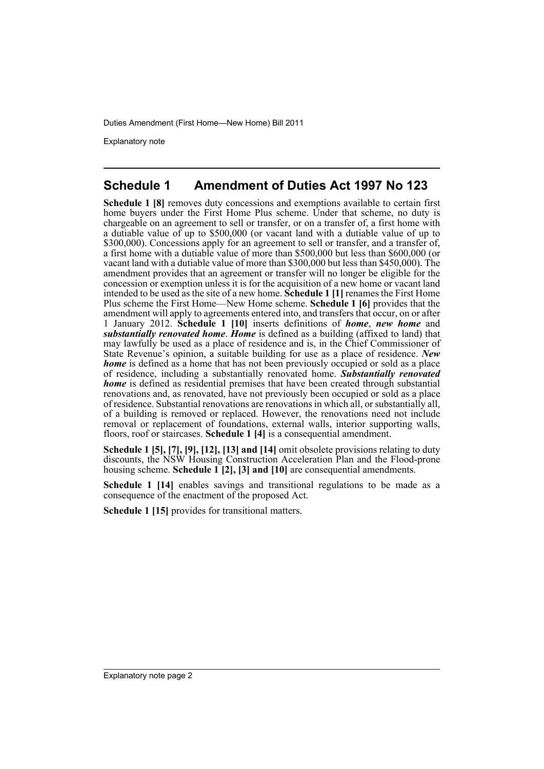Explanatory note

#### **Schedule 1 Amendment of Duties Act 1997 No 123**

**Schedule 1 [8]** removes duty concessions and exemptions available to certain first home buyers under the First Home Plus scheme. Under that scheme, no duty is chargeable on an agreement to sell or transfer, or on a transfer of, a first home with a dutiable value of up to \$500,000 (or vacant land with a dutiable value of up to \$300,000). Concessions apply for an agreement to sell or transfer, and a transfer of, a first home with a dutiable value of more than \$500,000 but less than \$600,000 (or vacant land with a dutiable value of more than \$300,000 but less than \$450,000). The amendment provides that an agreement or transfer will no longer be eligible for the concession or exemption unless it is for the acquisition of a new home or vacant land intended to be used as the site of a new home. **Schedule 1 [1]** renames the First Home Plus scheme the First Home—New Home scheme. **Schedule 1 [6]** provides that the amendment will apply to agreements entered into, and transfers that occur, on or after 1 January 2012. **Schedule 1 [10]** inserts definitions of *home*, *new home* and *substantially renovated home*. *Home* is defined as a building (affixed to land) that may lawfully be used as a place of residence and is, in the Chief Commissioner of State Revenue's opinion, a suitable building for use as a place of residence. *New home* is defined as a home that has not been previously occupied or sold as a place of residence, including a substantially renovated home. *Substantially renovated home* is defined as residential premises that have been created through substantial renovations and, as renovated, have not previously been occupied or sold as a place of residence. Substantial renovations are renovations in which all, or substantially all, of a building is removed or replaced. However, the renovations need not include removal or replacement of foundations, external walls, interior supporting walls, floors, roof or staircases. **Schedule 1 [4]** is a consequential amendment.

**Schedule 1 [5], [7], [9], [12], [13] and [14]** omit obsolete provisions relating to duty discounts, the NSW Housing Construction Acceleration Plan and the Flood-prone housing scheme. **Schedule 1 [2], [3] and [10]** are consequential amendments.

**Schedule 1 [14]** enables savings and transitional regulations to be made as a consequence of the enactment of the proposed Act.

**Schedule 1 [15]** provides for transitional matters.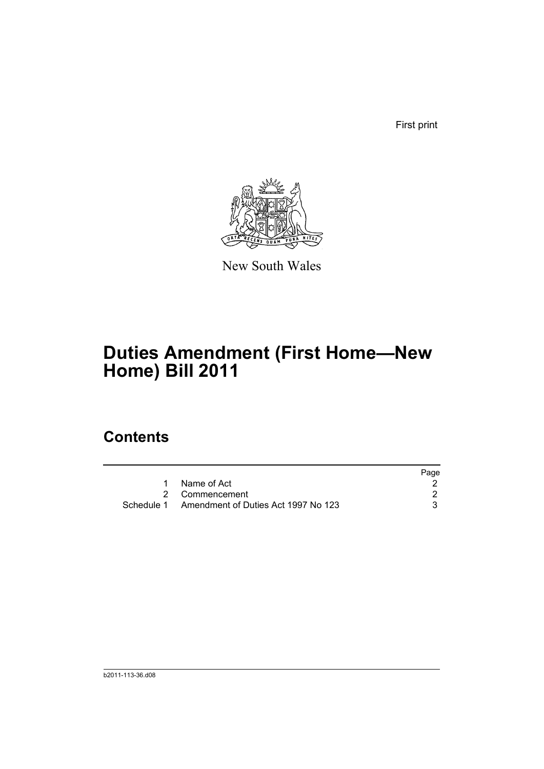First print



New South Wales

# **Duties Amendment (First Home—New Home) Bill 2011**

## **Contents**

|                                                | Page |
|------------------------------------------------|------|
| Name of Act                                    |      |
| 2 Commencement                                 |      |
| Schedule 1 Amendment of Duties Act 1997 No 123 |      |
|                                                |      |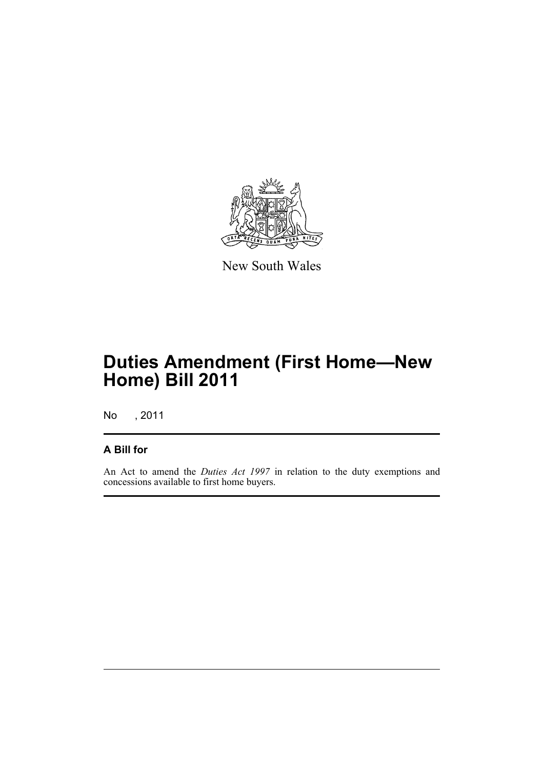

New South Wales

# **Duties Amendment (First Home—New Home) Bill 2011**

No , 2011

#### **A Bill for**

An Act to amend the *Duties Act 1997* in relation to the duty exemptions and concessions available to first home buyers.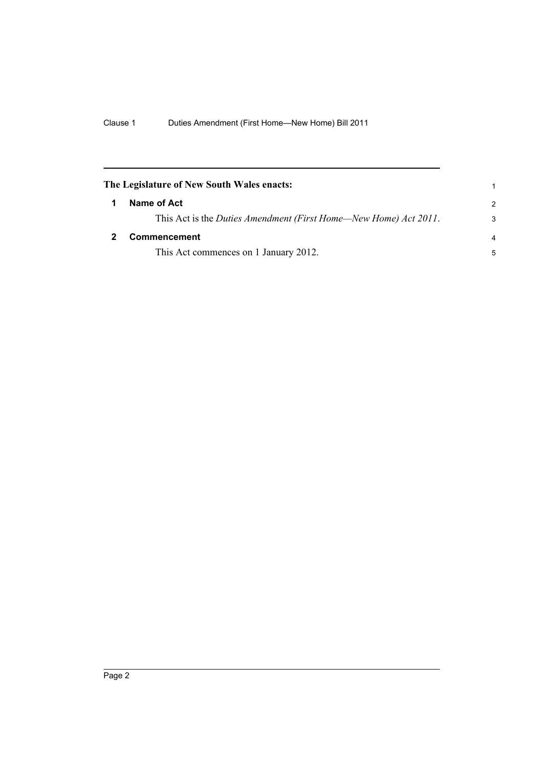<span id="page-5-1"></span><span id="page-5-0"></span>

| The Legislature of New South Wales enacts:                       | 1              |
|------------------------------------------------------------------|----------------|
| Name of Act                                                      | $\mathcal{P}$  |
| This Act is the Duties Amendment (First Home—New Home) Act 2011. | 3              |
| <b>Commencement</b>                                              | $\overline{a}$ |
| This Act commences on 1 January 2012.                            | 5              |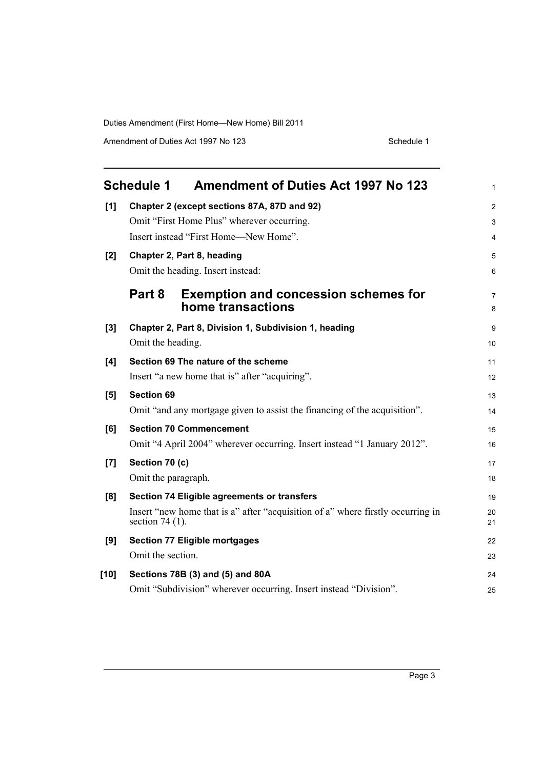Amendment of Duties Act 1997 No 123 Schedule 1

<span id="page-6-0"></span>

|        | <b>Schedule 1</b>                           | <b>Amendment of Duties Act 1997 No 123</b>                                      | 1        |  |  |  |
|--------|---------------------------------------------|---------------------------------------------------------------------------------|----------|--|--|--|
| [1]    | Chapter 2 (except sections 87A, 87D and 92) |                                                                                 |          |  |  |  |
|        |                                             | Omit "First Home Plus" wherever occurring.                                      | 3        |  |  |  |
|        |                                             | Insert instead "First Home-New Home".                                           |          |  |  |  |
| [2]    | Chapter 2, Part 8, heading                  |                                                                                 |          |  |  |  |
|        |                                             | Omit the heading. Insert instead:                                               | 6        |  |  |  |
|        | Part 8                                      | <b>Exemption and concession schemes for</b><br>home transactions                | 7<br>8   |  |  |  |
| [3]    |                                             | Chapter 2, Part 8, Division 1, Subdivision 1, heading                           | 9        |  |  |  |
|        | Omit the heading.                           |                                                                                 | 10       |  |  |  |
| [4]    |                                             | Section 69 The nature of the scheme                                             | 11       |  |  |  |
|        |                                             | Insert "a new home that is" after "acquiring".                                  | 12       |  |  |  |
| [5]    | <b>Section 69</b>                           |                                                                                 | 13       |  |  |  |
|        |                                             | Omit "and any mortgage given to assist the financing of the acquisition".       | 14       |  |  |  |
| [6]    |                                             | <b>Section 70 Commencement</b>                                                  | 15       |  |  |  |
|        |                                             | Omit "4 April 2004" wherever occurring. Insert instead "1 January 2012".        | 16       |  |  |  |
| $[7]$  | Section 70 (c)                              |                                                                                 | 17       |  |  |  |
|        | Omit the paragraph.                         |                                                                                 | 18       |  |  |  |
| [8]    |                                             | Section 74 Eligible agreements or transfers                                     | 19       |  |  |  |
|        | section 74 $(1)$ .                          | Insert "new home that is a" after "acquisition of a" where firstly occurring in | 20<br>21 |  |  |  |
| [9]    |                                             | <b>Section 77 Eligible mortgages</b>                                            | 22       |  |  |  |
|        | Omit the section.                           |                                                                                 | 23       |  |  |  |
| $[10]$ |                                             | Sections 78B (3) and (5) and 80A                                                | 24       |  |  |  |
|        |                                             | Omit "Subdivision" wherever occurring. Insert instead "Division".               | 25       |  |  |  |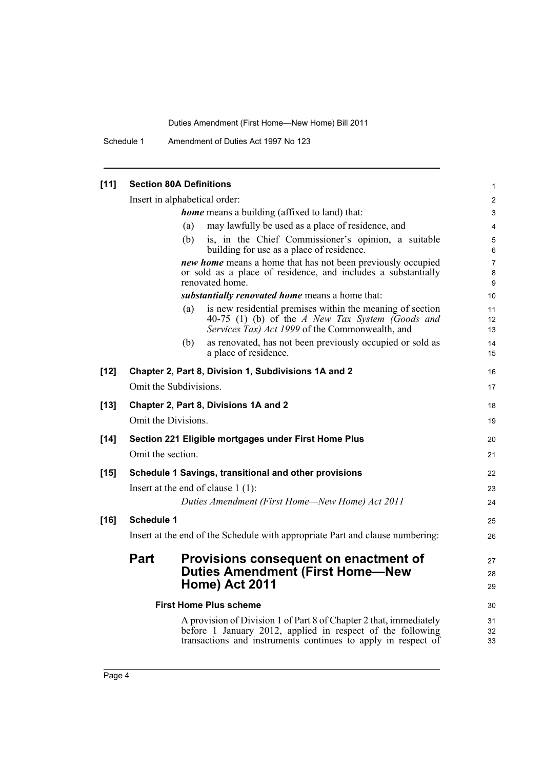Schedule 1 Amendment of Duties Act 1997 No 123

| $[11]$                                                         | <b>Section 80A Definitions</b>                                                |     |                                                                                                                                                                  | $\mathbf{1}$                |  |
|----------------------------------------------------------------|-------------------------------------------------------------------------------|-----|------------------------------------------------------------------------------------------------------------------------------------------------------------------|-----------------------------|--|
|                                                                | Insert in alphabetical order:                                                 |     |                                                                                                                                                                  |                             |  |
|                                                                | <b>home</b> means a building (affixed to land) that:                          |     |                                                                                                                                                                  |                             |  |
|                                                                |                                                                               | (a) | may lawfully be used as a place of residence, and                                                                                                                | $\overline{4}$              |  |
|                                                                |                                                                               | (b) | is, in the Chief Commissioner's opinion, a suitable<br>building for use as a place of residence.                                                                 | 5<br>6                      |  |
|                                                                |                                                                               |     | new home means a home that has not been previously occupied<br>or sold as a place of residence, and includes a substantially<br>renovated home.                  | $\overline{7}$<br>8<br>9    |  |
|                                                                | substantially renovated home means a home that:                               |     |                                                                                                                                                                  |                             |  |
|                                                                |                                                                               | (a) | is new residential premises within the meaning of section<br>40-75 (1) (b) of the A New Tax System (Goods and<br>Services Tax) Act 1999 of the Commonwealth, and | 11<br>12 <sup>°</sup><br>13 |  |
|                                                                |                                                                               | (b) | as renovated, has not been previously occupied or sold as<br>a place of residence.                                                                               | 14<br>15                    |  |
| $[12]$                                                         |                                                                               |     | Chapter 2, Part 8, Division 1, Subdivisions 1A and 2                                                                                                             | 16                          |  |
|                                                                | Omit the Subdivisions.                                                        |     |                                                                                                                                                                  | 17                          |  |
| $[13]$                                                         | Chapter 2, Part 8, Divisions 1A and 2                                         |     | 18                                                                                                                                                               |                             |  |
|                                                                | Omit the Divisions.                                                           |     |                                                                                                                                                                  | 19                          |  |
|                                                                |                                                                               |     |                                                                                                                                                                  |                             |  |
| $[14]$<br>Section 221 Eligible mortgages under First Home Plus |                                                                               |     |                                                                                                                                                                  | 20                          |  |
|                                                                | Omit the section.                                                             |     |                                                                                                                                                                  | 21                          |  |
| $[15]$                                                         |                                                                               |     | Schedule 1 Savings, transitional and other provisions                                                                                                            | 22                          |  |
|                                                                | Insert at the end of clause $1(1)$ :                                          |     |                                                                                                                                                                  |                             |  |
|                                                                |                                                                               |     | Duties Amendment (First Home-New Home) Act 2011                                                                                                                  | 24                          |  |
| $[16]$                                                         | <b>Schedule 1</b>                                                             |     |                                                                                                                                                                  | 25                          |  |
|                                                                | Insert at the end of the Schedule with appropriate Part and clause numbering: |     |                                                                                                                                                                  |                             |  |
|                                                                | Part                                                                          |     | Provisions consequent on enactment of                                                                                                                            | 27                          |  |
|                                                                |                                                                               |     | <b>Duties Amendment (First Home-New</b>                                                                                                                          | 28                          |  |
|                                                                |                                                                               |     | <b>Home) Act 2011</b>                                                                                                                                            | 29                          |  |
| <b>First Home Plus scheme</b>                                  |                                                                               |     |                                                                                                                                                                  |                             |  |
|                                                                |                                                                               |     | A provision of Division 1 of Part 8 of Chapter 2 that, immediately                                                                                               | 31                          |  |
|                                                                |                                                                               |     | before 1 January 2012, applied in respect of the following                                                                                                       | 32                          |  |
|                                                                |                                                                               |     | transactions and instruments continues to apply in respect of                                                                                                    | 33                          |  |